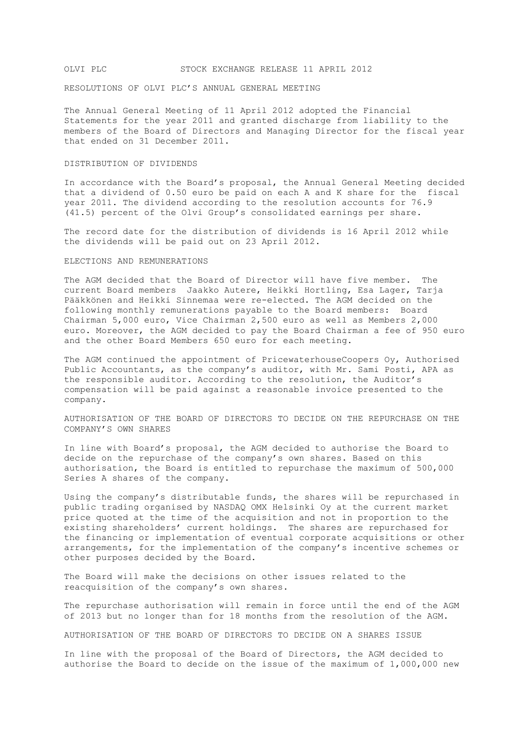## OLVI PLC STOCK EXCHANGE RELEASE 11 APRIL 2012

RESOLUTIONS OF OLVI PLC'S ANNUAL GENERAL MEETING

The Annual General Meeting of 11 April 2012 adopted the Financial Statements for the year 2011 and granted discharge from liability to the members of the Board of Directors and Managing Director for the fiscal year that ended on 31 December 2011.

## DISTRIBUTION OF DIVIDENDS

In accordance with the Board's proposal, the Annual General Meeting decided that a dividend of 0.50 euro be paid on each A and K share for the fiscal year 2011. The dividend according to the resolution accounts for 76.9 (41.5) percent of the Olvi Group's consolidated earnings per share.

The record date for the distribution of dividends is 16 April 2012 while the dividends will be paid out on 23 April 2012.

## ELECTIONS AND REMUNERATIONS

The AGM decided that the Board of Director will have five member. The current Board members Jaakko Autere, Heikki Hortling, Esa Lager, Tarja Pääkkönen and Heikki Sinnemaa were re-elected. The AGM decided on the following monthly remunerations payable to the Board members: Board Chairman 5,000 euro, Vice Chairman 2,500 euro as well as Members 2,000 euro. Moreover, the AGM decided to pay the Board Chairman a fee of 950 euro and the other Board Members 650 euro for each meeting.

The AGM continued the appointment of PricewaterhouseCoopers Oy, Authorised Public Accountants, as the company's auditor, with Mr. Sami Posti, APA as the responsible auditor. According to the resolution, the Auditor's compensation will be paid against a reasonable invoice presented to the company.

AUTHORISATION OF THE BOARD OF DIRECTORS TO DECIDE ON THE REPURCHASE ON THE COMPANY'S OWN SHARES

In line with Board's proposal, the AGM decided to authorise the Board to decide on the repurchase of the company's own shares. Based on this authorisation, the Board is entitled to repurchase the maximum of 500,000 Series A shares of the company.

Using the company's distributable funds, the shares will be repurchased in public trading organised by NASDAQ OMX Helsinki Oy at the current market price quoted at the time of the acquisition and not in proportion to the existing shareholders' current holdings. The shares are repurchased for the financing or implementation of eventual corporate acquisitions or other arrangements, for the implementation of the company's incentive schemes or other purposes decided by the Board.

The Board will make the decisions on other issues related to the reacquisition of the company's own shares.

The repurchase authorisation will remain in force until the end of the AGM of 2013 but no longer than for 18 months from the resolution of the AGM.

AUTHORISATION OF THE BOARD OF DIRECTORS TO DECIDE ON A SHARES ISSUE

In line with the proposal of the Board of Directors, the AGM decided to authorise the Board to decide on the issue of the maximum of 1,000,000 new